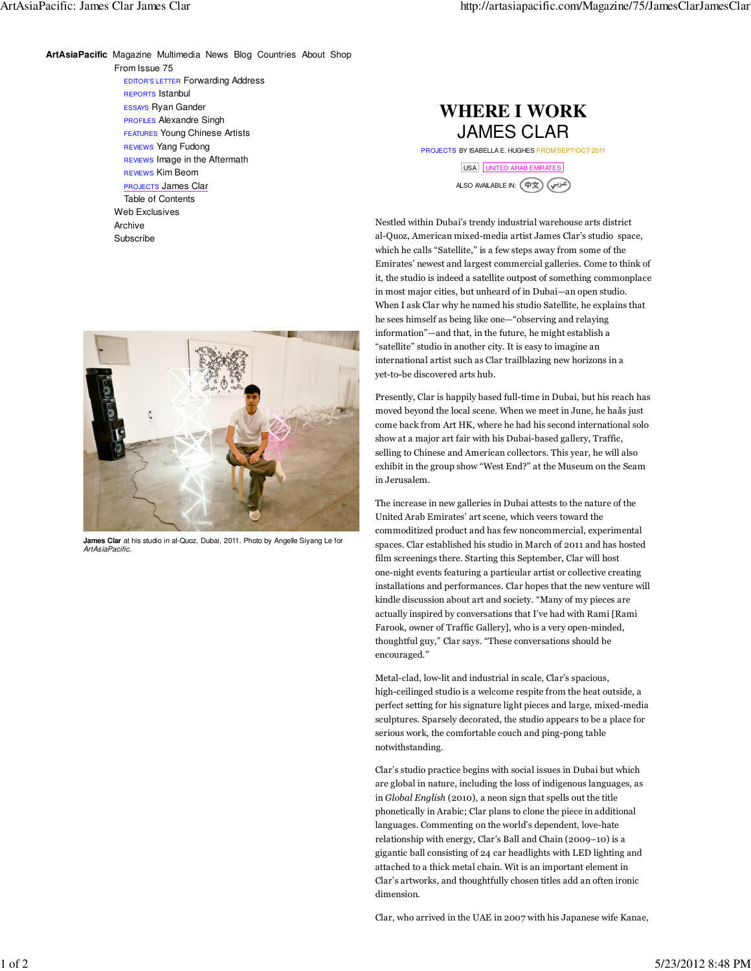From Issue 75 EDITOR'S LETTER Forwarding Address REPORTS Istanbul ESSAYS Ryan Gander PROFILES Alexandre Singh FEATURES Young Chinese Artists REVIEWS Yang Fudong REVIEWS Image in the Aftermath REVIEWS Kim Beom PROJECTS James Clar Table of Contents **ArtAsiaPacific** Magazine Multimedia News Blog Countries About Shop

> Web Exclusives Archive Subscribe

## JAMES CLAR **WHERE I WORK**

PROJECTS BY ISABELLA E. HUGHES FROM SEPT/OCT 2011

USA UNITED ARAB EMIRATES

ALSO AVAILABLE IN:

Nestled within Dubai's trendy industrial warehouse arts district al-Quoz, American mixed-media artist James Clar's studio space, which he calls "Satellite," is a few steps away from some of the Emirates' newest and largest commercial galleries. Come to think of it, the studio is indeed a satellite outpost of something commonplace in most major cities, but unheard of in Dubai—an open studio. When I ask Clar why he named his studio Satellite, he explains that he sees himself as being like one—"observing and relaying information"—and that, in the future, he might establish a "satellite" studio in another city. It is easy to imagine an international artist such as Clar trailblazing new horizons in a yet-to-be discovered arts hub.

Presently, Clar is happily based full-time in Dubai, but his reach has moved beyond the local scene. When we meet in June, he haås just come back from Art HK, where he had his second international solo show at a major art fair with his Dubai-based gallery, Traffic, selling to Chinese and American collectors. This year, he will also exhibit in the group show "West End?" at the Museum on the Seam in Jerusalem.

The increase in new galleries in Dubai attests to the nature of the United Arab Emirates' art scene, which veers toward the commoditized product and has few noncommercial, experimental spaces. Clar established his studio in March of 2011 and has hosted film screenings there. Starting this September, Clar will host one-night events featuring a particular artist or collective creating installations and performances. Clar hopes that the new venture will kindle discussion about art and society. "Many of my pieces are actually inspired by conversations that I've had with Rami [Rami Farook, owner of Traffic Gallery], who is a very open-minded, thoughtful guy," Clar says. "These conversations should be encouraged."

Metal-clad, low-lit and industrial in scale, Clar's spacious, high-ceilinged studio is a welcome respite from the heat outside, a perfect setting for his signature light pieces and large, mixed-media sculptures. Sparsely decorated, the studio appears to be a place for serious work, the comfortable couch and ping-pong table notwithstanding.

Clar's studio practice begins with social issues in Dubai but which are global in nature, including the loss of indigenous languages, as in *Global English* (2010), a neon sign that spells out the title phonetically in Arabic; Clar plans to clone the piece in additional languages. Commenting on the world's dependent, love-hate relationship with energy, Clar's Ball and Chain (2009–10) is a gigantic ball consisting of 24 car headlights with LED lighting and attached to a thick metal chain. Wit is an important element in Clar's artworks, and thoughtfully chosen titles add an often ironic dimension.

Clar, who arrived in the UAE in 2007 with his Japanese wife Kanae,



**James Clar** at his studio in al-Quoz, Dubai, 2011. Photo by Angelle Siyang Le for **ArtAsiaPacific**